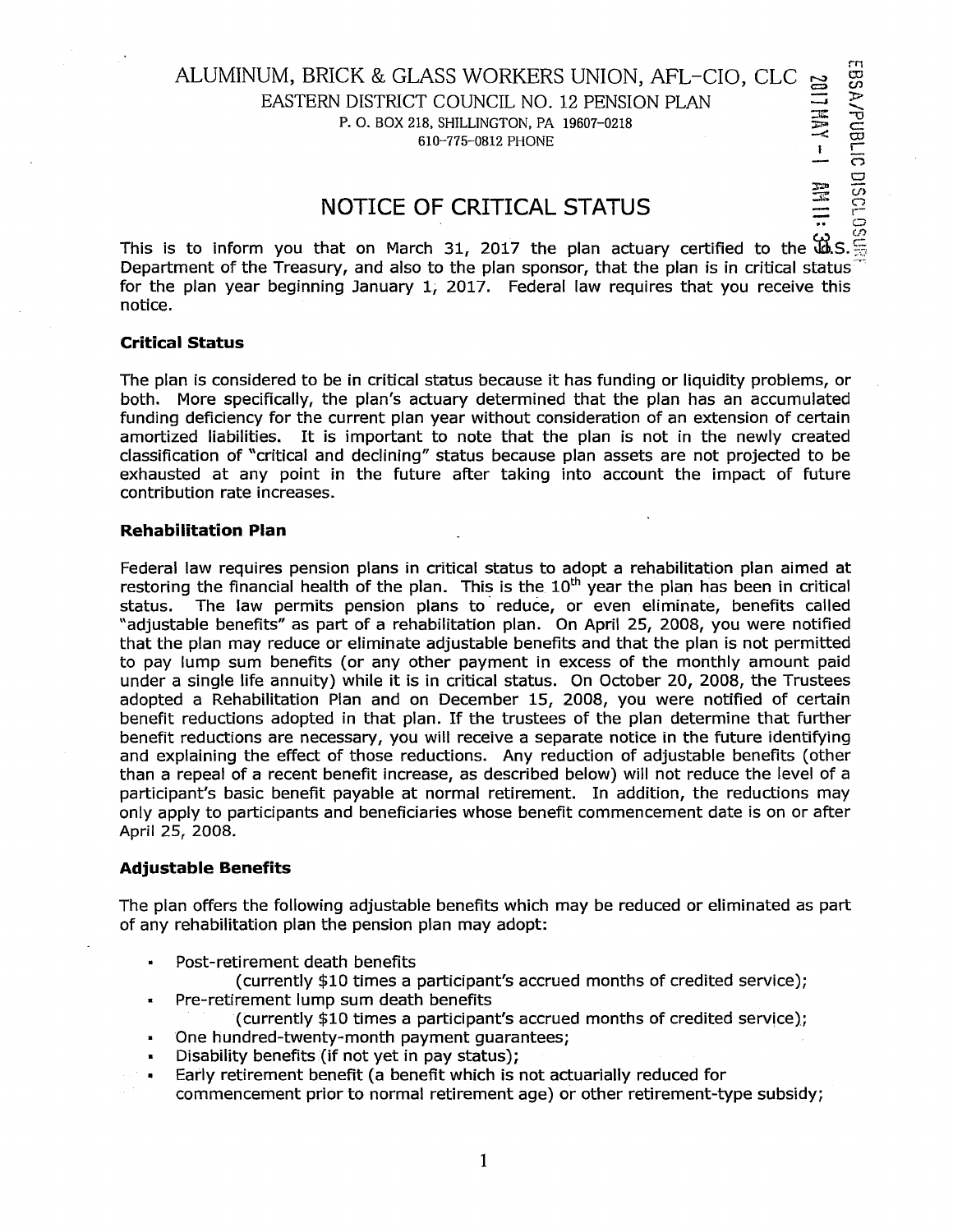### ALUMINUM, BRICK & GLASS WORKERS UNION, AFL-CIO, CLC EASTERN DISTRICT COUNCIL NO. 12 PENSION PLAN  $\frac{100}{9}$ CK & GLASS WORKERS UNION, AFL-CIO, CLC  $\frac{25}{27}$ <br>DISTRICT COUNCIL NO. 12 PENSION PLAN<br>P. 0. BOX 218, SHILLINGTON, PA 19607-0218  $-610-775-0812$  PHONE  $\frac{1}{1}$

0 Cl

# $\frac{12}{15}$   $\frac{12}{15}$   $\frac{12}{15}$   $\frac{12}{15}$   $\frac{12}{15}$   $\frac{12}{15}$   $\frac{12}{15}$   $\frac{12}{15}$   $\frac{12}{15}$   $\frac{12}{15}$   $\frac{12}{15}$   $\frac{12}{15}$   $\frac{12}{15}$   $\frac{12}{15}$   $\frac{12}{15}$   $\frac{12}{15}$   $\frac{12}{15}$   $\frac{12}{15}$   $\frac{1$

This is to inform you that on March 31, 2017 the plan actuary certified to the  $\mathbf{W.S.} \stackrel{CS}{\equiv}$ Department of the Treasury, and also to the plan sponsor, that the plan is in critical status.  $\mathbb{T}$ for the plan year beginning January 1, 2017. Federal law requires that you receive this notice.

#### **Critical Status**

The plan is considered to be in critical status because it has funding or liquidity problems, or both. More specifically, the plan's actuary determined that the plan has an accumulated funding deficiency for the current plan year without consideration of an extension of certain amortized liabilities. It is important to note that the plan is not in the newly created classification of "critical and declining" status because plan assets are not projected to be exhausted at any point in the future after taking into account the impact of future contribution rate increases.

#### **Rehabilitation Plan**

Federal law requires pension plans in critical status to adopt a rehabilitation plan aimed at restoring the financial health of the plan. This is the  $10<sup>th</sup>$  year the plan has been in critical status. The law permits pension plans to reduce, or even eliminate, benefits called "adjustable benefits" as part of a rehabilitation plan. On April 25, 2008, you were notified that the plan may reduce or eliminate adjustable benefits and that the plan is not permitted to pay lump sum benefits (or any other payment in excess of the monthly amount paid under a single life annuity) while it is in critical status. On October 20, 2008, the Trustees adopted a Rehabilitation Plan and on December 15, 2008, you were notified of certain benefit reductions adopted in that plan. If the trustees of the plan determine that further benefit reductions are necessary, you will receive a separate notice in the future identifying and explaining the effect of those reductions. Any reduction of adjustable benefits (other than a repeal of a recent benefit increase, as described below) will not reduce the level of a participant's basic benefit payable at normal retirement. In addition, the reductions may only apply to participants and beneficiaries whose benefit commencement date is on or after April 25, 2008.

#### **Adjustable Benefits**

The plan offers the following adjustable benefits which may be reduced or eliminated as part of any rehabilitation plan the pension plan may adopt:

Post-retirement death benefits

(currently \$10 times a participant's accrued months of credited service);

- Pre-retirement lump sum death benefits
	- (currently \$10 times a participant's accrued months of credited service);
- One hundred-twenty-month payment guarantees;  $\blacksquare$
- Disability benefits {if not yet in pay status);
- $\blacksquare$ Early retirement benefit (a benefit which is not actuarially reduced for
- commencement prior to normal retirement age) or other retirement-type subsidy;